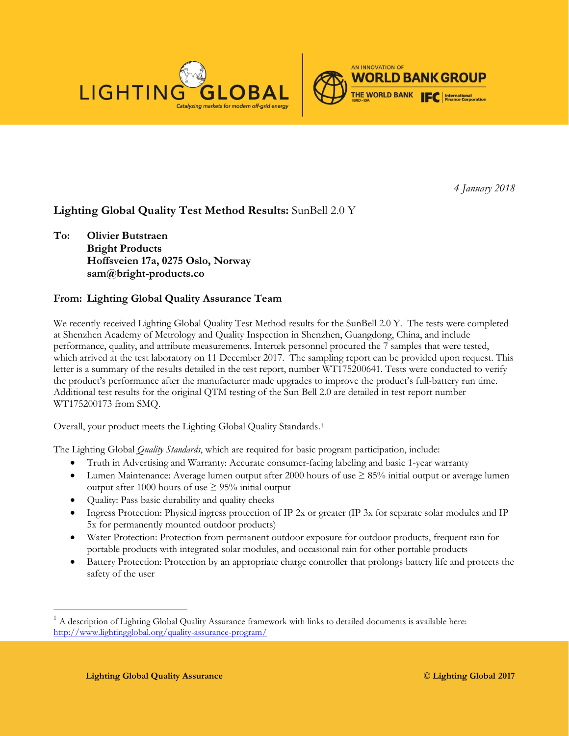



*4 January 2018*

# **Lighting Global Quality Test Method Results:** SunBell 2.0 Y

**To: Olivier Butstraen Bright Products Hoffsveien 17a, 0275 Oslo, Norway sam@bright-products.co**

## **From: Lighting Global Quality Assurance Team**

We recently received Lighting Global Quality Test Method results for the SunBell 2.0 Y. The tests were completed at Shenzhen Academy of Metrology and Quality Inspection in Shenzhen, Guangdong, China, and include performance, quality, and attribute measurements. Intertek personnel procured the 7 samples that were tested, which arrived at the test laboratory on 11 December 2017. The sampling report can be provided upon request. This letter is a summary of the results detailed in the test report, number WT175200641. Tests were conducted to verify the product's performance after the manufacturer made upgrades to improve the product's full-battery run time. Additional test results for the original QTM testing of the Sun Bell 2.0 are detailed in test report number WT175200173 from SMQ.

Overall, your product meets the Lighting Global Quality Standards.[1](#page-0-0) 

The Lighting Global *Quality Standards*, which are required for basic program participation, include:

- Truth in Advertising and Warranty: Accurate consumer-facing labeling and basic 1-year warranty
- Lumen Maintenance: Average lumen output after 2000 hours of use ≥ 85% initial output or average lumen output after 1000 hours of use  $\geq$  95% initial output
- Quality: Pass basic durability and quality checks
- Ingress Protection: Physical ingress protection of IP 2x or greater (IP 3x for separate solar modules and IP 5x for permanently mounted outdoor products)
- Water Protection: Protection from permanent outdoor exposure for outdoor products, frequent rain for portable products with integrated solar modules, and occasional rain for other portable products
- Battery Protection: Protection by an appropriate charge controller that prolongs battery life and protects the safety of the user

<span id="page-0-0"></span> <sup>1</sup> A description of Lighting Global Quality Assurance framework with links to detailed documents is available here: <http://www.lightingglobal.org/quality-assurance-program/>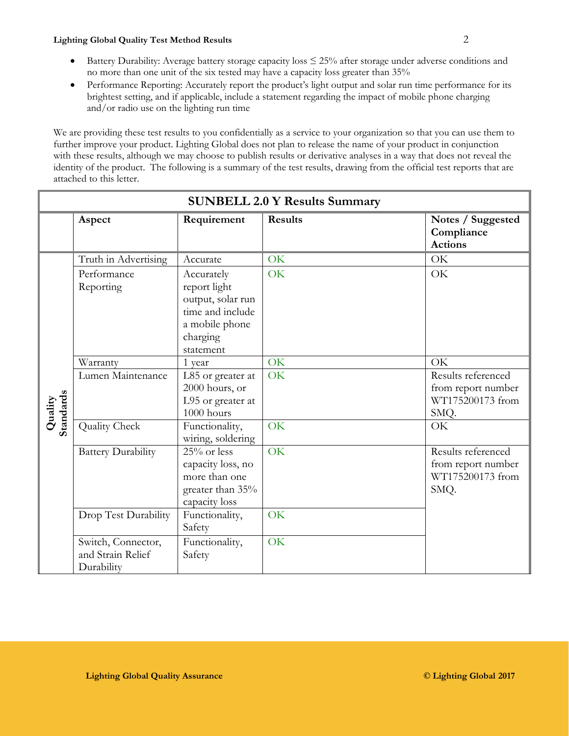### **Lighting Global Quality Test Method Results** 2

- Battery Durability: Average battery storage capacity loss ≤ 25% after storage under adverse conditions and no more than one unit of the six tested may have a capacity loss greater than 35%
- Performance Reporting: Accurately report the product's light output and solar run time performance for its brightest setting, and if applicable, include a statement regarding the impact of mobile phone charging and/or radio use on the lighting run time

We are providing these test results to you confidentially as a service to your organization so that you can use them to further improve your product. Lighting Global does not plan to release the name of your product in conjunction with these results, although we may choose to publish results or derivative analyses in a way that does not reveal the identity of the product. The following is a summary of the test results, drawing from the official test reports that are attached to this letter.

| <b>SUNBELL 2.0 Y Results Summary</b> |                                                       |                                                                                                                |                |                                                                      |  |  |  |  |
|--------------------------------------|-------------------------------------------------------|----------------------------------------------------------------------------------------------------------------|----------------|----------------------------------------------------------------------|--|--|--|--|
|                                      | Aspect                                                | Requirement                                                                                                    | <b>Results</b> | Notes / Suggested<br>Compliance<br><b>Actions</b>                    |  |  |  |  |
| Quality<br>Standards                 | Truth in Advertising                                  | Accurate                                                                                                       | OK             | OK                                                                   |  |  |  |  |
|                                      | Performance<br>Reporting                              | Accurately<br>report light<br>output, solar run<br>time and include<br>a mobile phone<br>charging<br>statement | OK             | OK                                                                   |  |  |  |  |
|                                      | Warranty                                              | 1 year                                                                                                         | OK             | OK                                                                   |  |  |  |  |
|                                      | Lumen Maintenance                                     | L85 or greater at<br>2000 hours, or<br>L95 or greater at<br>1000 hours                                         | OK             | Results referenced<br>from report number<br>WT175200173 from<br>SMQ. |  |  |  |  |
|                                      | <b>Quality Check</b>                                  | Functionality,<br>wiring, soldering                                                                            | OK             | OK                                                                   |  |  |  |  |
|                                      | <b>Battery Durability</b>                             | 25% or less<br>capacity loss, no<br>more than one<br>greater than 35%<br>capacity loss                         | OK             | Results referenced<br>from report number<br>WT175200173 from<br>SMQ. |  |  |  |  |
|                                      | Drop Test Durability                                  | Functionality,<br>Safety                                                                                       | OK             |                                                                      |  |  |  |  |
|                                      | Switch, Connector,<br>and Strain Relief<br>Durability | Functionality,<br>Safety                                                                                       | OK             |                                                                      |  |  |  |  |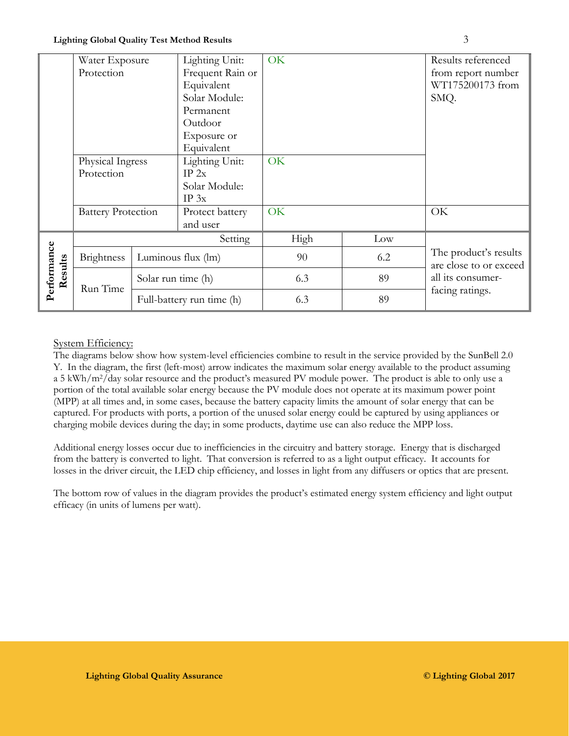|                        | Water Exposure                                              |                           | Lighting Unit:   | OK  |     | Results referenced                                                                      |  |
|------------------------|-------------------------------------------------------------|---------------------------|------------------|-----|-----|-----------------------------------------------------------------------------------------|--|
|                        | Protection                                                  |                           | Frequent Rain or |     |     | from report number                                                                      |  |
|                        |                                                             |                           | Equivalent       |     |     | WT175200173 from                                                                        |  |
|                        |                                                             |                           | Solar Module:    |     |     | SMQ.                                                                                    |  |
|                        |                                                             |                           | Permanent        |     |     |                                                                                         |  |
|                        |                                                             |                           | Outdoor          |     |     |                                                                                         |  |
|                        | Physical Ingress<br>Protection<br><b>Battery Protection</b> |                           | Exposure or      |     |     |                                                                                         |  |
|                        |                                                             |                           | Equivalent       |     |     |                                                                                         |  |
|                        |                                                             |                           | Lighting Unit:   | OK  |     |                                                                                         |  |
|                        |                                                             |                           | IP 2x            |     |     |                                                                                         |  |
|                        |                                                             |                           | Solar Module:    |     |     |                                                                                         |  |
|                        |                                                             |                           | $IP_3x$          |     |     |                                                                                         |  |
|                        |                                                             |                           | Protect battery  | OK  |     | OK                                                                                      |  |
|                        |                                                             |                           | and user         |     |     |                                                                                         |  |
| Performance<br>Results | Setting                                                     |                           | High             | Low |     |                                                                                         |  |
|                        | <b>Brightness</b>                                           | Luminous flux (lm)        |                  | 90  | 6.2 | The product's results<br>are close to or exceed<br>all its consumer-<br>facing ratings. |  |
|                        | Run Time                                                    | Solar run time (h)        |                  | 6.3 | 89  |                                                                                         |  |
|                        |                                                             | Full-battery run time (h) |                  | 6.3 | 89  |                                                                                         |  |

## System Efficiency:

The diagrams below show how system-level efficiencies combine to result in the service provided by the SunBell 2.0 Y. In the diagram, the first (left-most) arrow indicates the maximum solar energy available to the product assuming a 5 kWh/m2/day solar resource and the product's measured PV module power. The product is able to only use a portion of the total available solar energy because the PV module does not operate at its maximum power point (MPP) at all times and, in some cases, because the battery capacity limits the amount of solar energy that can be captured. For products with ports, a portion of the unused solar energy could be captured by using appliances or charging mobile devices during the day; in some products, daytime use can also reduce the MPP loss.

Additional energy losses occur due to inefficiencies in the circuitry and battery storage. Energy that is discharged from the battery is converted to light. That conversion is referred to as a light output efficacy. It accounts for losses in the driver circuit, the LED chip efficiency, and losses in light from any diffusers or optics that are present.

The bottom row of values in the diagram provides the product's estimated energy system efficiency and light output efficacy (in units of lumens per watt).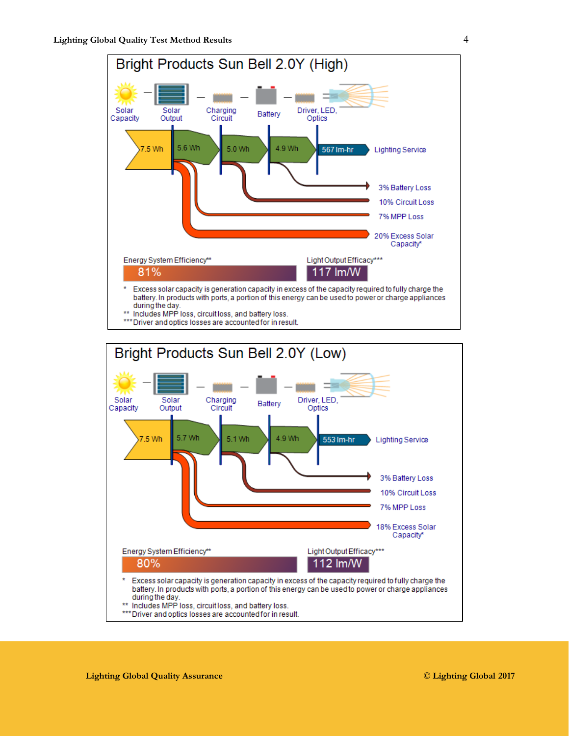

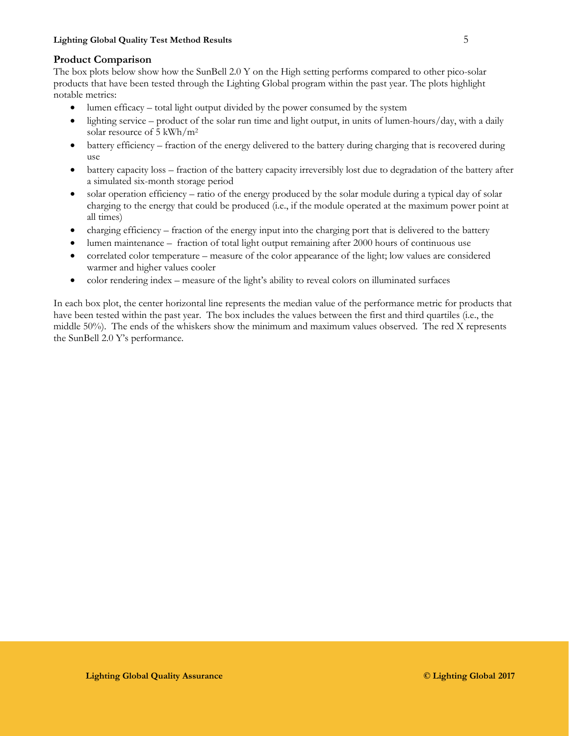### **Product Comparison**

The box plots below show how the SunBell 2.0 Y on the High setting performs compared to other pico-solar products that have been tested through the Lighting Global program within the past year. The plots highlight notable metrics:

- lumen efficacy total light output divided by the power consumed by the system
- lighting service product of the solar run time and light output, in units of lumen-hours/day, with a daily solar resource of 5 kWh/m2
- battery efficiency fraction of the energy delivered to the battery during charging that is recovered during use
- battery capacity loss fraction of the battery capacity irreversibly lost due to degradation of the battery after a simulated six-month storage period
- solar operation efficiency ratio of the energy produced by the solar module during a typical day of solar charging to the energy that could be produced (i.e., if the module operated at the maximum power point at all times)
- charging efficiency fraction of the energy input into the charging port that is delivered to the battery
- lumen maintenance fraction of total light output remaining after 2000 hours of continuous use
- correlated color temperature measure of the color appearance of the light; low values are considered warmer and higher values cooler
- color rendering index measure of the light's ability to reveal colors on illuminated surfaces

In each box plot, the center horizontal line represents the median value of the performance metric for products that have been tested within the past year. The box includes the values between the first and third quartiles (i.e., the middle 50%). The ends of the whiskers show the minimum and maximum values observed. The red X represents the SunBell 2.0 Y's performance.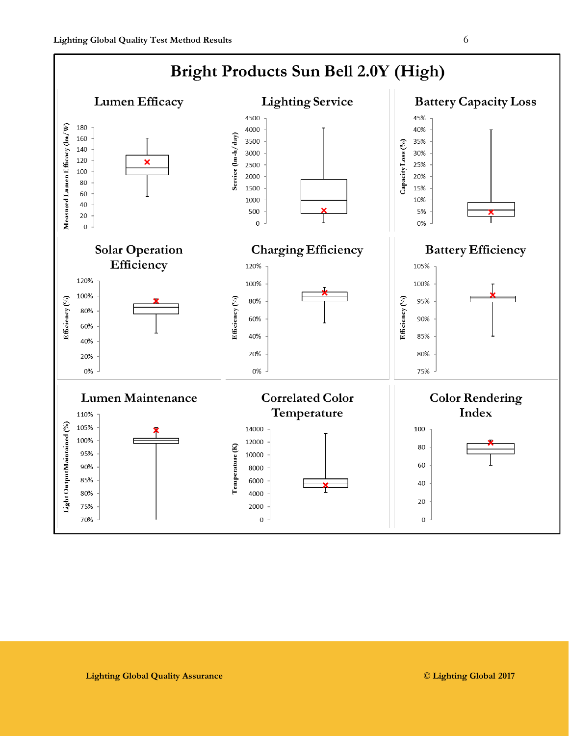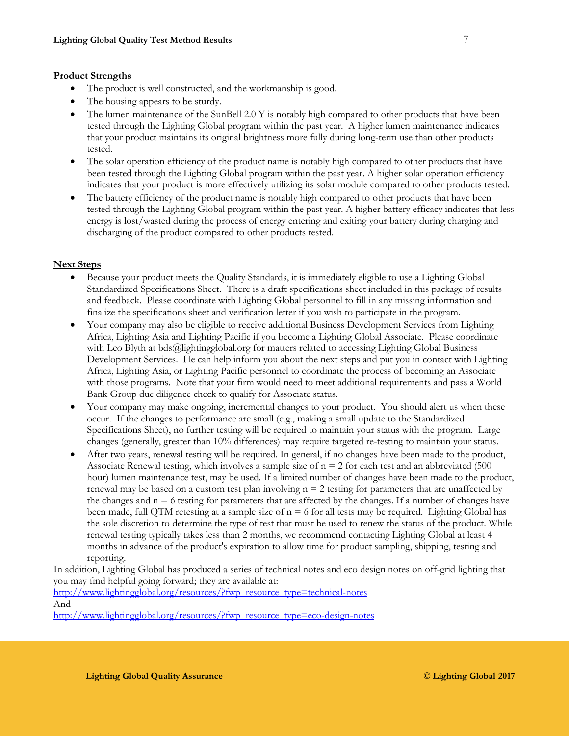### **Product Strengths**

- The product is well constructed, and the workmanship is good.
- The housing appears to be sturdy.
- The lumen maintenance of the SunBell 2.0 Y is notably high compared to other products that have been tested through the Lighting Global program within the past year. A higher lumen maintenance indicates that your product maintains its original brightness more fully during long-term use than other products tested.
- The solar operation efficiency of the product name is notably high compared to other products that have been tested through the Lighting Global program within the past year. A higher solar operation efficiency indicates that your product is more effectively utilizing its solar module compared to other products tested.
- The battery efficiency of the product name is notably high compared to other products that have been tested through the Lighting Global program within the past year. A higher battery efficacy indicates that less energy is lost/wasted during the process of energy entering and exiting your battery during charging and discharging of the product compared to other products tested.

### **Next Steps**

- Because your product meets the Quality Standards, it is immediately eligible to use a Lighting Global Standardized Specifications Sheet. There is a draft specifications sheet included in this package of results and feedback. Please coordinate with Lighting Global personnel to fill in any missing information and finalize the specifications sheet and verification letter if you wish to participate in the program.
- Your company may also be eligible to receive additional Business Development Services from Lighting Africa, Lighting Asia and Lighting Pacific if you become a Lighting Global Associate. Please coordinate with Leo Blyth at bds@lightingglobal.org for matters related to accessing Lighting Global Business Development Services. He can help inform you about the next steps and put you in contact with Lighting Africa, Lighting Asia, or Lighting Pacific personnel to coordinate the process of becoming an Associate with those programs. Note that your firm would need to meet additional requirements and pass a World Bank Group due diligence check to qualify for Associate status.
- Your company may make ongoing, incremental changes to your product. You should alert us when these occur. If the changes to performance are small (e.g., making a small update to the Standardized Specifications Sheet), no further testing will be required to maintain your status with the program. Large changes (generally, greater than 10% differences) may require targeted re-testing to maintain your status.
- After two years, renewal testing will be required. In general, if no changes have been made to the product, Associate Renewal testing, which involves a sample size of  $n = 2$  for each test and an abbreviated (500) hour) lumen maintenance test, may be used. If a limited number of changes have been made to the product, renewal may be based on a custom test plan involving  $n = 2$  testing for parameters that are unaffected by the changes and  $n = 6$  testing for parameters that are affected by the changes. If a number of changes have been made, full QTM retesting at a sample size of  $n = 6$  for all tests may be required. Lighting Global has the sole discretion to determine the type of test that must be used to renew the status of the product. While renewal testing typically takes less than 2 months, we recommend contacting Lighting Global at least 4 months in advance of the product's expiration to allow time for product sampling, shipping, testing and reporting.

In addition, Lighting Global has produced a series of technical notes and eco design notes on off-grid lighting that you may find helpful going forward; they are available at:

[http://www.lightingglobal.org/resources/?fwp\\_resource\\_type=technical-notes](http://www.lightingglobal.org/resources/?fwp_resource_type=technical-notes) And

[http://www.lightingglobal.org/resources/?fwp\\_resource\\_type=eco-design-notes](http://www.lightingglobal.org/resources/?fwp_resource_type=eco-design-notes)